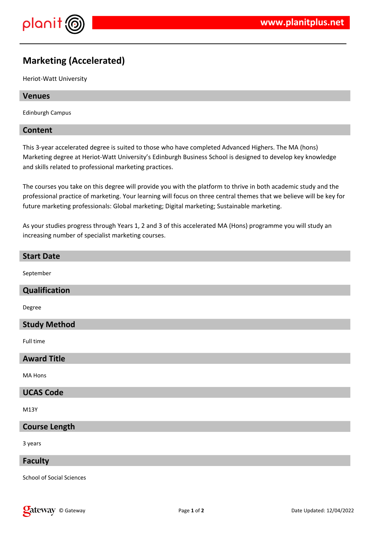

# **Marketing (Accelerated)**

Heriot-Watt University

## **Venues**

Edinburgh Campus

## **Content**

This 3-year accelerated degree is suited to those who have completed Advanced Highers. The MA (hons) Marketing degree at Heriot-Watt University's Edinburgh Business School is designed to develop key knowledge and skills related to professional marketing practices.

The courses you take on this degree will provide you with the platform to thrive in both academic study and the professional practice of marketing. Your learning will focus on three central themes that we believe will be key for future marketing professionals: Global marketing; Digital marketing; Sustainable marketing.

As your studies progress through Years 1, 2 and 3 of this accelerated MA (Hons) programme you will study an increasing number of specialist marketing courses.

## **Start Date**

September

#### **Qualification**

Degree

## **Study Method**

Full time

## **Award Title**

MA Hons

## **UCAS Code**

M13Y

## **Course Length**

3 years

#### **Faculty**

School of Social Sciences